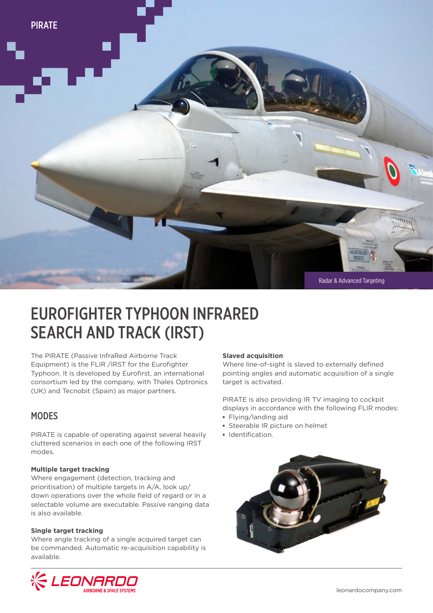

# EUROFIGHTER TYPHOON INFRARED SEARCH AND TRACK (IRST)

The PIRATE (Passive InfraRed Airborne Track Equipment) is the FLIR /IRST for the Eurofighter Typhoon. It is developed by Eurofirst, an international consortium led by the company, with Thales Optronics (UK) and Tecnobit (Spain) as major partners.

### **MODES**

PIRATE is capable of operating against several heavily cluttered scenarios in each one of the following IRST modes.

#### **Multiple target tracking**

Where engagement (detection, tracking and prioritisation) of multiple targets in A/A, look up/ down operations over the whole field of regard or in a selectable volume are executable. Passive ranging data is also available.

#### **Single target tracking**

Where angle tracking of a single acquired target can be commanded. Automatic re-acquisition capability is available.

#### **Slaved acquisition**

Where line-of-sight is slaved to externally defined pointing angles and automatic acquisition of a single target is activated.

PIRATE is also providing IR TV imaging to cockpit displays in accordance with the following FLIR modes:

- **▪** Flying/landing aid
- **▪** Steerable IR picture on helmet
- **▪** Identification.